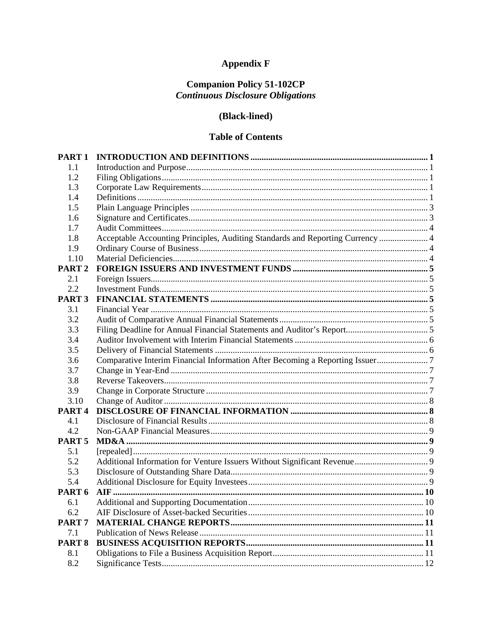# **Appendix F**

# **Companion Policy 51-102CP**<br>Continuous Disclosure Obligations

# (Black-lined)

# **Table of Contents**

| PART <sub>1</sub>        |                                                                                |  |  |  |  |  |  |
|--------------------------|--------------------------------------------------------------------------------|--|--|--|--|--|--|
| 1.1                      |                                                                                |  |  |  |  |  |  |
| 1.2                      |                                                                                |  |  |  |  |  |  |
| 1.3                      |                                                                                |  |  |  |  |  |  |
| 1.4                      |                                                                                |  |  |  |  |  |  |
| 1.5                      |                                                                                |  |  |  |  |  |  |
| 1.6                      |                                                                                |  |  |  |  |  |  |
| 1.7                      |                                                                                |  |  |  |  |  |  |
| 1.8                      | Acceptable Accounting Principles, Auditing Standards and Reporting Currency  4 |  |  |  |  |  |  |
| 1.9                      |                                                                                |  |  |  |  |  |  |
| 1.10                     |                                                                                |  |  |  |  |  |  |
| PART <sub>2</sub>        |                                                                                |  |  |  |  |  |  |
| 2.1                      |                                                                                |  |  |  |  |  |  |
| 2.2                      |                                                                                |  |  |  |  |  |  |
| PART <sub>3</sub>        |                                                                                |  |  |  |  |  |  |
| 3.1                      |                                                                                |  |  |  |  |  |  |
| 3.2                      |                                                                                |  |  |  |  |  |  |
| 3.3                      |                                                                                |  |  |  |  |  |  |
| 3.4                      |                                                                                |  |  |  |  |  |  |
| 3.5                      |                                                                                |  |  |  |  |  |  |
| 3.6                      |                                                                                |  |  |  |  |  |  |
| 3.7                      |                                                                                |  |  |  |  |  |  |
| 3.8                      |                                                                                |  |  |  |  |  |  |
| 3.9                      |                                                                                |  |  |  |  |  |  |
| 3.10                     |                                                                                |  |  |  |  |  |  |
| PART <sub>4</sub>        |                                                                                |  |  |  |  |  |  |
| 4.1                      |                                                                                |  |  |  |  |  |  |
| 4.2<br>PART <sub>5</sub> |                                                                                |  |  |  |  |  |  |
| 5.1                      |                                                                                |  |  |  |  |  |  |
| 5.2                      |                                                                                |  |  |  |  |  |  |
| 5.3                      |                                                                                |  |  |  |  |  |  |
| 5.4                      |                                                                                |  |  |  |  |  |  |
| PART <sub>6</sub>        |                                                                                |  |  |  |  |  |  |
| 6.1                      |                                                                                |  |  |  |  |  |  |
| 6.2                      |                                                                                |  |  |  |  |  |  |
| PART <sub>7</sub>        |                                                                                |  |  |  |  |  |  |
| 7.1                      |                                                                                |  |  |  |  |  |  |
| PART <sub>8</sub>        |                                                                                |  |  |  |  |  |  |
| 8.1                      |                                                                                |  |  |  |  |  |  |
| 8.2                      |                                                                                |  |  |  |  |  |  |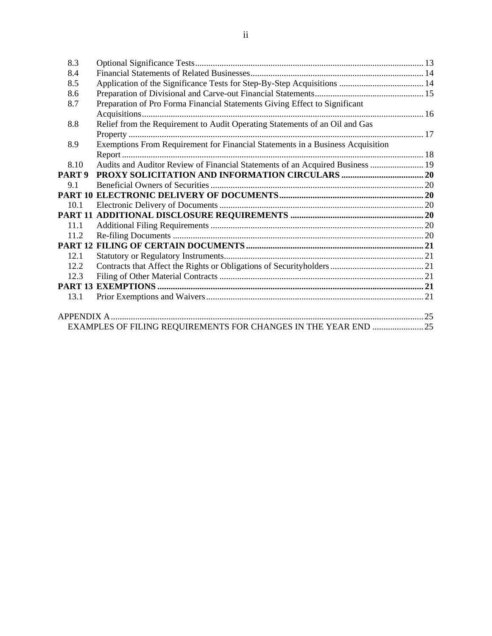| 8.3                 |                                                                                |  |
|---------------------|--------------------------------------------------------------------------------|--|
| 8.4                 |                                                                                |  |
| 8.5                 |                                                                                |  |
| 8.6                 |                                                                                |  |
| 8.7                 | Preparation of Pro Forma Financial Statements Giving Effect to Significant     |  |
|                     |                                                                                |  |
| 8.8                 | Relief from the Requirement to Audit Operating Statements of an Oil and Gas    |  |
|                     |                                                                                |  |
| 8.9                 | Exemptions From Requirement for Financial Statements in a Business Acquisition |  |
|                     |                                                                                |  |
| 8.10                | Audits and Auditor Review of Financial Statements of an Acquired Business  19  |  |
| PART <sub>9</sub>   |                                                                                |  |
| 9.1                 |                                                                                |  |
|                     |                                                                                |  |
| 10.1                |                                                                                |  |
|                     |                                                                                |  |
| 11.1                |                                                                                |  |
| 11.2                |                                                                                |  |
|                     |                                                                                |  |
| 12.1                |                                                                                |  |
| 12.2                |                                                                                |  |
| 12.3                |                                                                                |  |
|                     |                                                                                |  |
| 13.1                |                                                                                |  |
|                     |                                                                                |  |
| <b>APPENDIX A.,</b> |                                                                                |  |
|                     | EXAMPLES OF FILING REQUIREMENTS FOR CHANGES IN THE YEAR END  25                |  |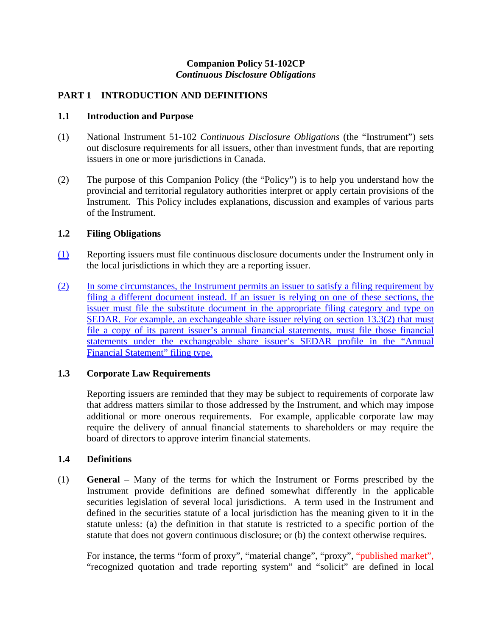# **Companion Policy 51-102CP**  *Continuous Disclosure Obligations*

# **PART 1 INTRODUCTION AND DEFINITIONS**

#### **1.1 Introduction and Purpose**

- (1) National Instrument 51-102 *Continuous Disclosure Obligations* (the "Instrument") sets out disclosure requirements for all issuers, other than investment funds, that are reporting issuers in one or more jurisdictions in Canada.
- (2) The purpose of this Companion Policy (the "Policy") is to help you understand how the provincial and territorial regulatory authorities interpret or apply certain provisions of the Instrument. This Policy includes explanations, discussion and examples of various parts of the Instrument.

#### **1.2 Filing Obligations**

- (1) Reporting issuers must file continuous disclosure documents under the Instrument only in the local jurisdictions in which they are a reporting issuer.
- (2) In some circumstances, the Instrument permits an issuer to satisfy a filing requirement by filing a different document instead. If an issuer is relying on one of these sections, the issuer must file the substitute document in the appropriate filing category and type on SEDAR. For example, an exchangeable share issuer relying on section 13.3(2) that must file a copy of its parent issuer's annual financial statements, must file those financial statements under the exchangeable share issuer's SEDAR profile in the "Annual Financial Statement" filing type.

#### **1.3 Corporate Law Requirements**

Reporting issuers are reminded that they may be subject to requirements of corporate law that address matters similar to those addressed by the Instrument, and which may impose additional or more onerous requirements. For example, applicable corporate law may require the delivery of annual financial statements to shareholders or may require the board of directors to approve interim financial statements.

#### **1.4 Definitions**

(1) **General** – Many of the terms for which the Instrument or Forms prescribed by the Instrument provide definitions are defined somewhat differently in the applicable securities legislation of several local jurisdictions. A term used in the Instrument and defined in the securities statute of a local jurisdiction has the meaning given to it in the statute unless: (a) the definition in that statute is restricted to a specific portion of the statute that does not govern continuous disclosure; or (b) the context otherwise requires.

For instance, the terms "form of proxy", "material change", "proxy", "published market", "recognized quotation and trade reporting system" and "solicit" are defined in local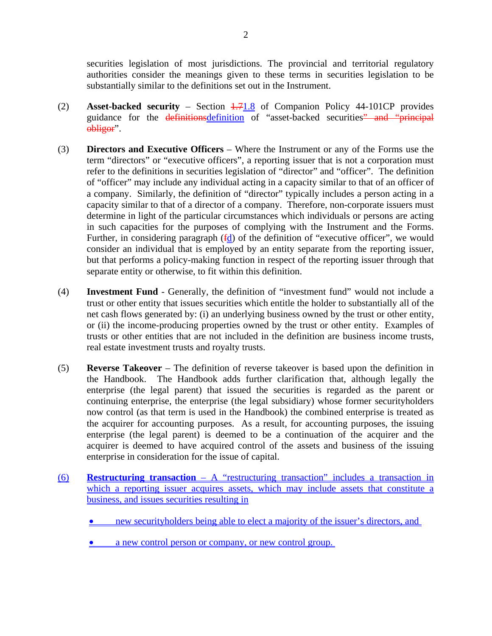securities legislation of most jurisdictions. The provincial and territorial regulatory authorities consider the meanings given to these terms in securities legislation to be substantially similar to the definitions set out in the Instrument.

- (2) **Asset-backed security** Section 1.71.8 of Companion Policy 44-101CP provides guidance for the definitions definition of "asset-backed securities" and "principal obligor".
- (3) **Directors and Executive Officers** Where the Instrument or any of the Forms use the term "directors" or "executive officers", a reporting issuer that is not a corporation must refer to the definitions in securities legislation of "director" and "officer". The definition of "officer" may include any individual acting in a capacity similar to that of an officer of a company. Similarly, the definition of "director" typically includes a person acting in a capacity similar to that of a director of a company. Therefore, non-corporate issuers must determine in light of the particular circumstances which individuals or persons are acting in such capacities for the purposes of complying with the Instrument and the Forms. Further, in considering paragraph  $(f_d)$  of the definition of "executive officer", we would consider an individual that is employed by an entity separate from the reporting issuer, but that performs a policy-making function in respect of the reporting issuer through that separate entity or otherwise, to fit within this definition.
- (4) **Investment Fund** Generally, the definition of "investment fund" would not include a trust or other entity that issues securities which entitle the holder to substantially all of the net cash flows generated by: (i) an underlying business owned by the trust or other entity, or (ii) the income-producing properties owned by the trust or other entity. Examples of trusts or other entities that are not included in the definition are business income trusts, real estate investment trusts and royalty trusts.
- (5) **Reverse Takeover** The definition of reverse takeover is based upon the definition in the Handbook. The Handbook adds further clarification that, although legally the enterprise (the legal parent) that issued the securities is regarded as the parent or continuing enterprise, the enterprise (the legal subsidiary) whose former securityholders now control (as that term is used in the Handbook) the combined enterprise is treated as the acquirer for accounting purposes. As a result, for accounting purposes, the issuing enterprise (the legal parent) is deemed to be a continuation of the acquirer and the acquirer is deemed to have acquired control of the assets and business of the issuing enterprise in consideration for the issue of capital.
- (6) **Restructuring transaction**  A "restructuring transaction" includes a transaction in which a reporting issuer acquires assets, which may include assets that constitute a business, and issues securities resulting in
	- new securityholders being able to elect a majority of the issuer's directors, and
	- a new control person or company, or new control group.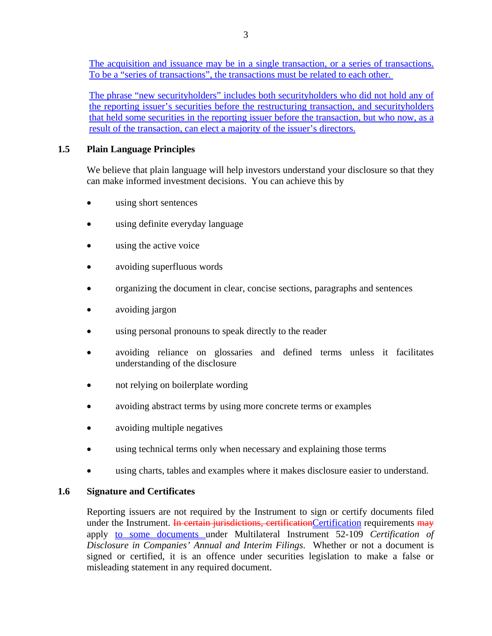The acquisition and issuance may be in a single transaction, or a series of transactions. To be a "series of transactions", the transactions must be related to each other.

The phrase "new securityholders" includes both securityholders who did not hold any of the reporting issuer's securities before the restructuring transaction, and securityholders that held some securities in the reporting issuer before the transaction, but who now, as a result of the transaction, can elect a majority of the issuer's directors.

# **1.5 Plain Language Principles**

We believe that plain language will help investors understand your disclosure so that they can make informed investment decisions. You can achieve this by

- using short sentences
- using definite everyday language
- using the active voice
- avoiding superfluous words
- organizing the document in clear, concise sections, paragraphs and sentences
- avoiding jargon
- using personal pronouns to speak directly to the reader
- avoiding reliance on glossaries and defined terms unless it facilitates understanding of the disclosure
- not relying on boilerplate wording
- avoiding abstract terms by using more concrete terms or examples
- avoiding multiple negatives
- using technical terms only when necessary and explaining those terms
- using charts, tables and examples where it makes disclosure easier to understand.

#### **1.6 Signature and Certificates**

Reporting issuers are not required by the Instrument to sign or certify documents filed under the Instrument. In certain jurisdictions, certification Certification requirements may apply to some documents under Multilateral Instrument 52-109 *Certification of Disclosure in Companies' Annual and Interim Filings*. Whether or not a document is signed or certified, it is an offence under securities legislation to make a false or misleading statement in any required document.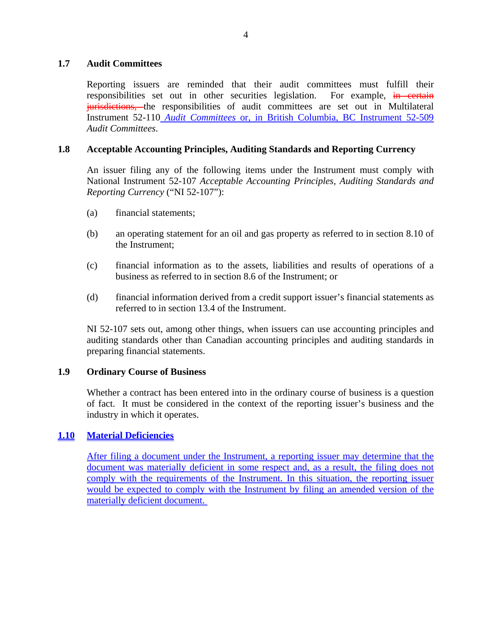# **1.7 Audit Committees**

Reporting issuers are reminded that their audit committees must fulfill their responsibilities set out in other securities legislation. For example, in certain jurisdictions, the responsibilities of audit committees are set out in Multilateral Instrument 52-110 *Audit Committees* or, in British Columbia, BC Instrument 52-509 *Audit Committees*.

# **1.8 Acceptable Accounting Principles, Auditing Standards and Reporting Currency**

An issuer filing any of the following items under the Instrument must comply with National Instrument 52-107 *Acceptable Accounting Principles, Auditing Standards and Reporting Currency* ("NI 52-107"):

- (a) financial statements;
- (b) an operating statement for an oil and gas property as referred to in section 8.10 of the Instrument;
- (c) financial information as to the assets, liabilities and results of operations of a business as referred to in section 8.6 of the Instrument; or
- (d) financial information derived from a credit support issuer's financial statements as referred to in section 13.4 of the Instrument.

NI 52-107 sets out, among other things, when issuers can use accounting principles and auditing standards other than Canadian accounting principles and auditing standards in preparing financial statements.

#### **1.9 Ordinary Course of Business**

Whether a contract has been entered into in the ordinary course of business is a question of fact. It must be considered in the context of the reporting issuer's business and the industry in which it operates.

# **1.10 Material Deficiencies**

After filing a document under the Instrument, a reporting issuer may determine that the document was materially deficient in some respect and, as a result, the filing does not comply with the requirements of the Instrument. In this situation, the reporting issuer would be expected to comply with the Instrument by filing an amended version of the materially deficient document.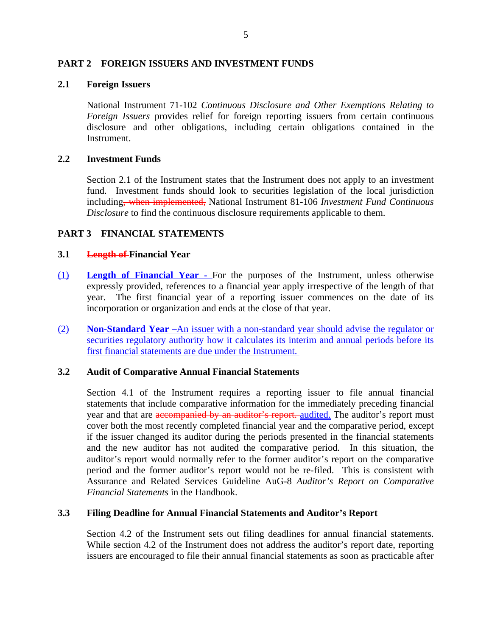#### **PART 2 FOREIGN ISSUERS AND INVESTMENT FUNDS**

#### **2.1 Foreign Issuers**

National Instrument 71-102 *Continuous Disclosure and Other Exemptions Relating to Foreign Issuers* provides relief for foreign reporting issuers from certain continuous disclosure and other obligations, including certain obligations contained in the Instrument.

#### **2.2 Investment Funds**

Section 2.1 of the Instrument states that the Instrument does not apply to an investment fund. Investment funds should look to securities legislation of the local jurisdiction including, when implemented, National Instrument 81-106 *Investment Fund Continuous Disclosure* to find the continuous disclosure requirements applicable to them.

#### **PART 3 FINANCIAL STATEMENTS**

#### **3.1 Length of Financial Year**

- (1) **Length of Financial Year** For the purposes of the Instrument, unless otherwise expressly provided, references to a financial year apply irrespective of the length of that year. The first financial year of a reporting issuer commences on the date of its incorporation or organization and ends at the close of that year.
- (2) **Non-Standard Year –**An issuer with a non-standard year should advise the regulator or securities regulatory authority how it calculates its interim and annual periods before its first financial statements are due under the Instrument.

#### **3.2 Audit of Comparative Annual Financial Statements**

Section 4.1 of the Instrument requires a reporting issuer to file annual financial statements that include comparative information for the immediately preceding financial year and that are accompanied by an auditor's report. audited. The auditor's report must cover both the most recently completed financial year and the comparative period, except if the issuer changed its auditor during the periods presented in the financial statements and the new auditor has not audited the comparative period. In this situation, the auditor's report would normally refer to the former auditor's report on the comparative period and the former auditor's report would not be re-filed. This is consistent with Assurance and Related Services Guideline AuG-8 *Auditor's Report on Comparative Financial Statements* in the Handbook.

#### **3.3 Filing Deadline for Annual Financial Statements and Auditor's Report**

Section 4.2 of the Instrument sets out filing deadlines for annual financial statements. While section 4.2 of the Instrument does not address the auditor's report date, reporting issuers are encouraged to file their annual financial statements as soon as practicable after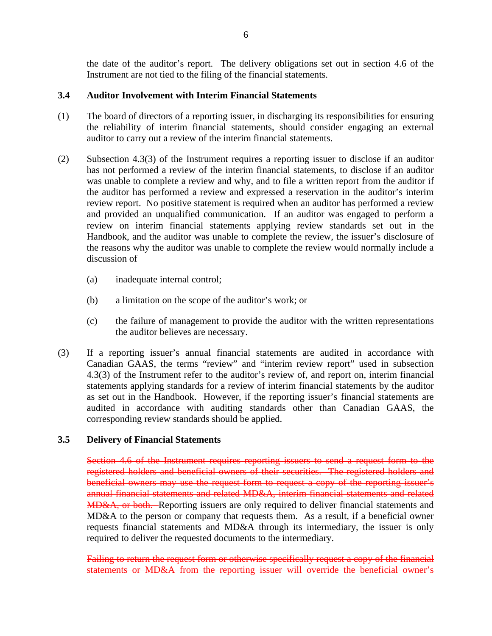the date of the auditor's report. The delivery obligations set out in section 4.6 of the Instrument are not tied to the filing of the financial statements.

# **3.4 Auditor Involvement with Interim Financial Statements**

- (1) The board of directors of a reporting issuer, in discharging its responsibilities for ensuring the reliability of interim financial statements, should consider engaging an external auditor to carry out a review of the interim financial statements.
- (2) Subsection 4.3(3) of the Instrument requires a reporting issuer to disclose if an auditor has not performed a review of the interim financial statements, to disclose if an auditor was unable to complete a review and why, and to file a written report from the auditor if the auditor has performed a review and expressed a reservation in the auditor's interim review report. No positive statement is required when an auditor has performed a review and provided an unqualified communication. If an auditor was engaged to perform a review on interim financial statements applying review standards set out in the Handbook, and the auditor was unable to complete the review, the issuer's disclosure of the reasons why the auditor was unable to complete the review would normally include a discussion of
	- (a) inadequate internal control;
	- (b) a limitation on the scope of the auditor's work; or
	- (c) the failure of management to provide the auditor with the written representations the auditor believes are necessary.
- (3) If a reporting issuer's annual financial statements are audited in accordance with Canadian GAAS, the terms "review" and "interim review report" used in subsection 4.3(3) of the Instrument refer to the auditor's review of, and report on, interim financial statements applying standards for a review of interim financial statements by the auditor as set out in the Handbook. However, if the reporting issuer's financial statements are audited in accordance with auditing standards other than Canadian GAAS, the corresponding review standards should be applied.

# **3.5 Delivery of Financial Statements**

Section 4.6 of the Instrument requires reporting issuers to send a request form to the registered holders and beneficial owners of their securities. The registered holders and beneficial owners may use the request form to request a copy of the reporting issuer's annual financial statements and related MD&A, interim financial statements and related MD&A, or both. Reporting issuers are only required to deliver financial statements and MD&A to the person or company that requests them. As a result, if a beneficial owner requests financial statements and MD&A through its intermediary, the issuer is only required to deliver the requested documents to the intermediary.

Failing to return the request form or otherwise specifically request a copy of the financial statements or MD&A from the reporting issuer will override the beneficial owner's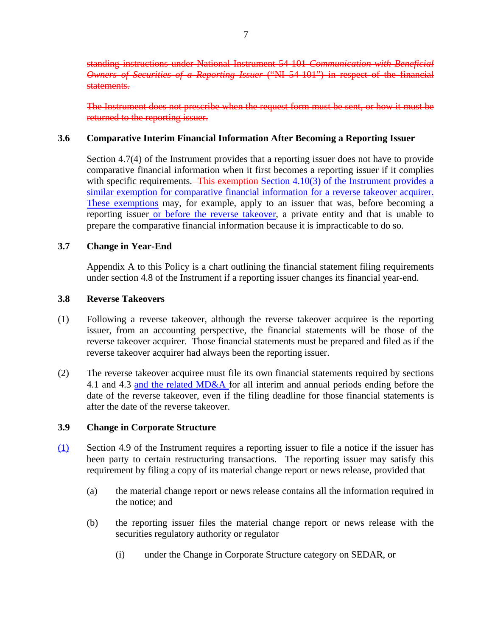standing instructions under National Instrument 54-101 *Communication with Beneficial Owners of Securities of a Reporting Issuer* ("NI 54-101") in respect of the financial statements.

The Instrument does not prescribe when the request form must be sent, or how it must be returned to the reporting issuer.

#### **3.6 Comparative Interim Financial Information After Becoming a Reporting Issuer**

Section 4.7(4) of the Instrument provides that a reporting issuer does not have to provide comparative financial information when it first becomes a reporting issuer if it complies with specific requirements. This exemption Section  $4.10(3)$  of the Instrument provides a similar exemption for comparative financial information for a reverse takeover acquirer. These exemptions may, for example, apply to an issuer that was, before becoming a reporting issuer or before the reverse takeover, a private entity and that is unable to prepare the comparative financial information because it is impracticable to do so.

# **3.7 Change in Year-End**

Appendix A to this Policy is a chart outlining the financial statement filing requirements under section 4.8 of the Instrument if a reporting issuer changes its financial year-end.

#### **3.8 Reverse Takeovers**

- (1) Following a reverse takeover, although the reverse takeover acquiree is the reporting issuer, from an accounting perspective, the financial statements will be those of the reverse takeover acquirer. Those financial statements must be prepared and filed as if the reverse takeover acquirer had always been the reporting issuer.
- (2) The reverse takeover acquiree must file its own financial statements required by sections 4.1 and 4.3 and the related MD&A for all interim and annual periods ending before the date of the reverse takeover, even if the filing deadline for those financial statements is after the date of the reverse takeover.

#### **3.9 Change in Corporate Structure**

- (1) Section 4.9 of the Instrument requires a reporting issuer to file a notice if the issuer has been party to certain restructuring transactions. The reporting issuer may satisfy this requirement by filing a copy of its material change report or news release, provided that
	- (a) the material change report or news release contains all the information required in the notice; and
	- (b) the reporting issuer files the material change report or news release with the securities regulatory authority or regulator
		- (i) under the Change in Corporate Structure category on SEDAR, or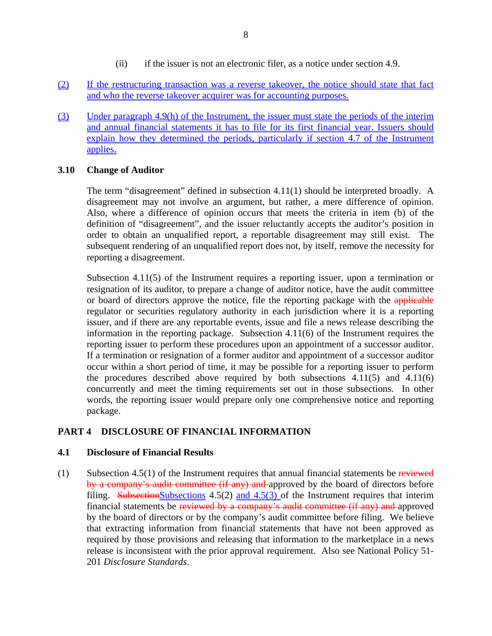- (ii) if the issuer is not an electronic filer, as a notice under section 4.9.
- (2) If the restructuring transaction was a reverse takeover, the notice should state that fact and who the reverse takeover acquirer was for accounting purposes.
- (3) Under paragraph 4.9(h) of the Instrument, the issuer must state the periods of the interim and annual financial statements it has to file for its first financial year. Issuers should explain how they determined the periods, particularly if section 4.7 of the Instrument applies.

#### **3.10 Change of Auditor**

The term "disagreement" defined in subsection 4.11(1) should be interpreted broadly. A disagreement may not involve an argument, but rather, a mere difference of opinion. Also, where a difference of opinion occurs that meets the criteria in item (b) of the definition of "disagreement", and the issuer reluctantly accepts the auditor's position in order to obtain an unqualified report, a reportable disagreement may still exist. The subsequent rendering of an unqualified report does not, by itself, remove the necessity for reporting a disagreement.

Subsection 4.11(5) of the Instrument requires a reporting issuer, upon a termination or resignation of its auditor, to prepare a change of auditor notice, have the audit committee or board of directors approve the notice, file the reporting package with the applicable regulator or securities regulatory authority in each jurisdiction where it is a reporting issuer, and if there are any reportable events, issue and file a news release describing the information in the reporting package. Subsection 4.11(6) of the Instrument requires the reporting issuer to perform these procedures upon an appointment of a successor auditor. If a termination or resignation of a former auditor and appointment of a successor auditor occur within a short period of time, it may be possible for a reporting issuer to perform the procedures described above required by both subsections  $4.11(5)$  and  $4.11(6)$ concurrently and meet the timing requirements set out in those subsections. In other words, the reporting issuer would prepare only one comprehensive notice and reporting package.

#### **PART 4 DISCLOSURE OF FINANCIAL INFORMATION**

#### **4.1 Disclosure of Financial Results**

 $(1)$  Subsection 4.5(1) of the Instrument requires that annual financial statements be reviewed by a company's audit committee (if any) and approved by the board of directors before filing. SubsectionSubsections 4.5(2) and  $4.5(3)$  of the Instrument requires that interim financial statements be reviewed by a company's audit committee (if any) and approved by the board of directors or by the company's audit committee before filing. We believe that extracting information from financial statements that have not been approved as required by those provisions and releasing that information to the marketplace in a news release is inconsistent with the prior approval requirement. Also see National Policy 51- 201 *Disclosure Standards*.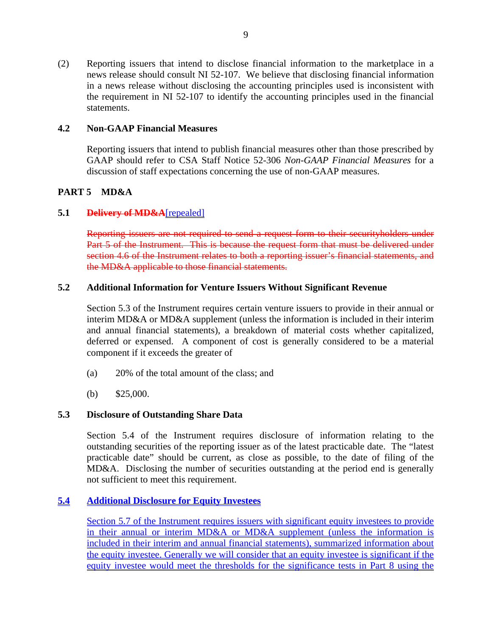(2) Reporting issuers that intend to disclose financial information to the marketplace in a news release should consult NI 52-107. We believe that disclosing financial information in a news release without disclosing the accounting principles used is inconsistent with the requirement in NI 52-107 to identify the accounting principles used in the financial statements.

# **4.2 Non-GAAP Financial Measures**

Reporting issuers that intend to publish financial measures other than those prescribed by GAAP should refer to CSA Staff Notice 52-306 *Non-GAAP Financial Measures* for a discussion of staff expectations concerning the use of non-GAAP measures.

# **PART 5 MD&A**

# **5.1 Delivery of MD&A**[repealed]

Reporting issuers are not required to send a request form to their securityholders under Part 5 of the Instrument. This is because the request form that must be delivered under section 4.6 of the Instrument relates to both a reporting issuer's financial statements, and the MD&A applicable to those financial statements.

# **5.2 Additional Information for Venture Issuers Without Significant Revenue**

Section 5.3 of the Instrument requires certain venture issuers to provide in their annual or interim MD&A or MD&A supplement (unless the information is included in their interim and annual financial statements), a breakdown of material costs whether capitalized, deferred or expensed. A component of cost is generally considered to be a material component if it exceeds the greater of

- (a) 20% of the total amount of the class; and
- (b)  $$25,000.$

# **5.3 Disclosure of Outstanding Share Data**

Section 5.4 of the Instrument requires disclosure of information relating to the outstanding securities of the reporting issuer as of the latest practicable date. The "latest practicable date" should be current, as close as possible, to the date of filing of the MD&A. Disclosing the number of securities outstanding at the period end is generally not sufficient to meet this requirement.

# **5.4 Additional Disclosure for Equity Investees**

Section 5.7 of the Instrument requires issuers with significant equity investees to provide in their annual or interim MD&A or MD&A supplement (unless the information is included in their interim and annual financial statements), summarized information about the equity investee. Generally we will consider that an equity investee is significant if the equity investee would meet the thresholds for the significance tests in Part 8 using the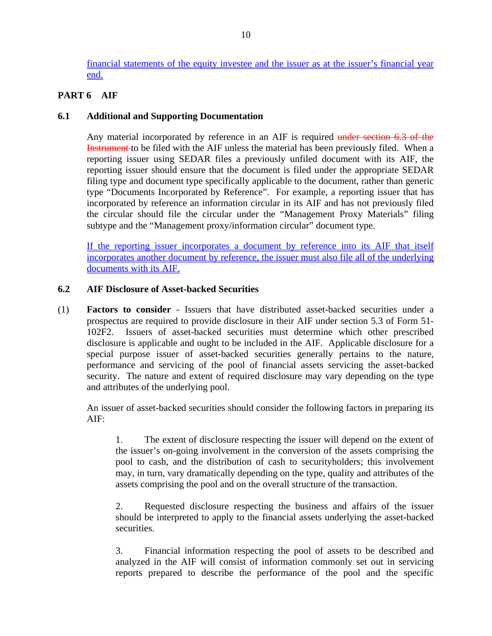financial statements of the equity investee and the issuer as at the issuer's financial year end.

# **PART 6 AIF**

## **6.1 Additional and Supporting Documentation**

Any material incorporated by reference in an AIF is required under section 6.3 of the Instrument to be filed with the AIF unless the material has been previously filed. When a reporting issuer using SEDAR files a previously unfiled document with its AIF, the reporting issuer should ensure that the document is filed under the appropriate SEDAR filing type and document type specifically applicable to the document, rather than generic type "Documents Incorporated by Reference". For example, a reporting issuer that has incorporated by reference an information circular in its AIF and has not previously filed the circular should file the circular under the "Management Proxy Materials" filing subtype and the "Management proxy/information circular" document type.

If the reporting issuer incorporates a document by reference into its AIF that itself incorporates another document by reference, the issuer must also file all of the underlying documents with its AIF.

#### **6.2 AIF Disclosure of Asset-backed Securities**

(1) **Factors to consider** - Issuers that have distributed asset-backed securities under a prospectus are required to provide disclosure in their AIF under section 5.3 of Form 51- 102F2. Issuers of asset-backed securities must determine which other prescribed disclosure is applicable and ought to be included in the AIF. Applicable disclosure for a special purpose issuer of asset-backed securities generally pertains to the nature, performance and servicing of the pool of financial assets servicing the asset-backed security. The nature and extent of required disclosure may vary depending on the type and attributes of the underlying pool.

An issuer of asset-backed securities should consider the following factors in preparing its AIF:

1. The extent of disclosure respecting the issuer will depend on the extent of the issuer's on-going involvement in the conversion of the assets comprising the pool to cash, and the distribution of cash to securityholders; this involvement may, in turn, vary dramatically depending on the type, quality and attributes of the assets comprising the pool and on the overall structure of the transaction.

2. Requested disclosure respecting the business and affairs of the issuer should be interpreted to apply to the financial assets underlying the asset-backed securities.

3. Financial information respecting the pool of assets to be described and analyzed in the AIF will consist of information commonly set out in servicing reports prepared to describe the performance of the pool and the specific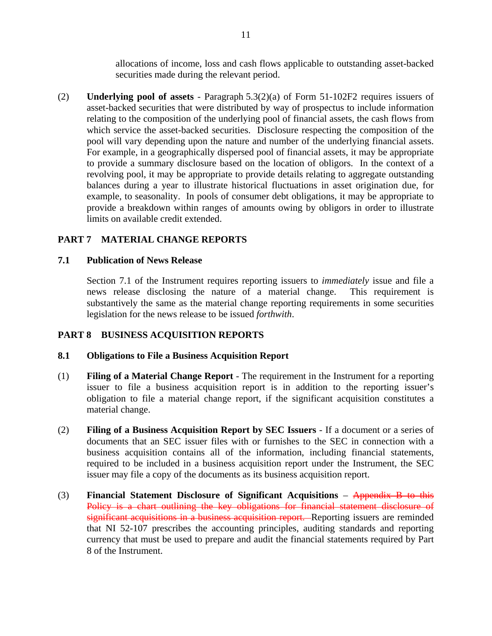allocations of income, loss and cash flows applicable to outstanding asset-backed securities made during the relevant period.

(2) **Underlying pool of assets** - Paragraph 5.3(2)(a) of Form 51-102F2 requires issuers of asset-backed securities that were distributed by way of prospectus to include information relating to the composition of the underlying pool of financial assets, the cash flows from which service the asset-backed securities. Disclosure respecting the composition of the pool will vary depending upon the nature and number of the underlying financial assets. For example, in a geographically dispersed pool of financial assets, it may be appropriate to provide a summary disclosure based on the location of obligors. In the context of a revolving pool, it may be appropriate to provide details relating to aggregate outstanding balances during a year to illustrate historical fluctuations in asset origination due, for example, to seasonality. In pools of consumer debt obligations, it may be appropriate to provide a breakdown within ranges of amounts owing by obligors in order to illustrate limits on available credit extended.

# **PART 7 MATERIAL CHANGE REPORTS**

#### **7.1 Publication of News Release**

Section 7.1 of the Instrument requires reporting issuers to *immediately* issue and file a news release disclosing the nature of a material change. This requirement is substantively the same as the material change reporting requirements in some securities legislation for the news release to be issued *forthwith*.

#### **PART 8 BUSINESS ACQUISITION REPORTS**

#### **8.1 Obligations to File a Business Acquisition Report**

- (1) **Filing of a Material Change Report** The requirement in the Instrument for a reporting issuer to file a business acquisition report is in addition to the reporting issuer's obligation to file a material change report, if the significant acquisition constitutes a material change.
- (2) **Filing of a Business Acquisition Report by SEC Issuers** If a document or a series of documents that an SEC issuer files with or furnishes to the SEC in connection with a business acquisition contains all of the information, including financial statements, required to be included in a business acquisition report under the Instrument, the SEC issuer may file a copy of the documents as its business acquisition report.
- (3) **Financial Statement Disclosure of Significant Acquisitions** Appendix B to this Policy is a chart outlining the key obligations for financial statement disclosure of significant acquisitions in a business acquisition report. Reporting issuers are reminded that NI 52-107 prescribes the accounting principles, auditing standards and reporting currency that must be used to prepare and audit the financial statements required by Part 8 of the Instrument.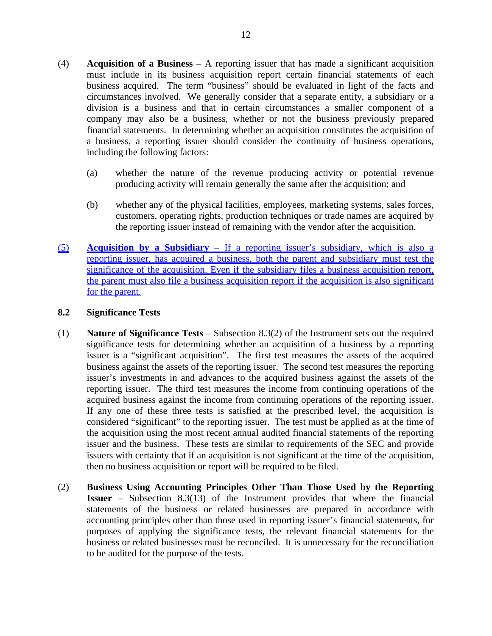- (4) **Acquisition of a Business** A reporting issuer that has made a significant acquisition must include in its business acquisition report certain financial statements of each business acquired. The term "business" should be evaluated in light of the facts and circumstances involved. We generally consider that a separate entity, a subsidiary or a division is a business and that in certain circumstances a smaller component of a company may also be a business, whether or not the business previously prepared financial statements. In determining whether an acquisition constitutes the acquisition of a business, a reporting issuer should consider the continuity of business operations, including the following factors:
	- (a) whether the nature of the revenue producing activity or potential revenue producing activity will remain generally the same after the acquisition; and
	- (b) whether any of the physical facilities, employees, marketing systems, sales forces, customers, operating rights, production techniques or trade names are acquired by the reporting issuer instead of remaining with the vendor after the acquisition.
- (5) **Acquisition by a Subsidiary** If a reporting issuer's subsidiary, which is also a reporting issuer, has acquired a business, both the parent and subsidiary must test the significance of the acquisition. Even if the subsidiary files a business acquisition report, the parent must also file a business acquisition report if the acquisition is also significant for the parent.

#### **8.2 Significance Tests**

- (1) **Nature of Significance Tests** Subsection 8.3(2) of the Instrument sets out the required significance tests for determining whether an acquisition of a business by a reporting issuer is a "significant acquisition". The first test measures the assets of the acquired business against the assets of the reporting issuer. The second test measures the reporting issuer's investments in and advances to the acquired business against the assets of the reporting issuer. The third test measures the income from continuing operations of the acquired business against the income from continuing operations of the reporting issuer. If any one of these three tests is satisfied at the prescribed level, the acquisition is considered "significant" to the reporting issuer. The test must be applied as at the time of the acquisition using the most recent annual audited financial statements of the reporting issuer and the business. These tests are similar to requirements of the SEC and provide issuers with certainty that if an acquisition is not significant at the time of the acquisition, then no business acquisition or report will be required to be filed.
- (2) **Business Using Accounting Principles Other Than Those Used by the Reporting Issuer** – Subsection 8.3(13) of the Instrument provides that where the financial statements of the business or related businesses are prepared in accordance with accounting principles other than those used in reporting issuer's financial statements, for purposes of applying the significance tests, the relevant financial statements for the business or related businesses must be reconciled. It is unnecessary for the reconciliation to be audited for the purpose of the tests.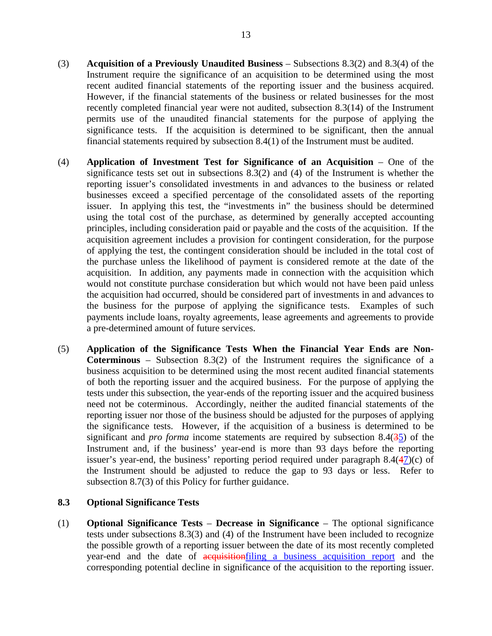- (3) **Acquisition of a Previously Unaudited Business** Subsections 8.3(2) and 8.3(4) of the Instrument require the significance of an acquisition to be determined using the most recent audited financial statements of the reporting issuer and the business acquired. However, if the financial statements of the business or related businesses for the most recently completed financial year were not audited, subsection 8.3(14) of the Instrument permits use of the unaudited financial statements for the purpose of applying the significance tests. If the acquisition is determined to be significant, then the annual financial statements required by subsection 8.4(1) of the Instrument must be audited.
- (4) **Application of Investment Test for Significance of an Acquisition**  One of the significance tests set out in subsections 8.3(2) and (4) of the Instrument is whether the reporting issuer's consolidated investments in and advances to the business or related businesses exceed a specified percentage of the consolidated assets of the reporting issuer. In applying this test, the "investments in" the business should be determined using the total cost of the purchase, as determined by generally accepted accounting principles, including consideration paid or payable and the costs of the acquisition. If the acquisition agreement includes a provision for contingent consideration, for the purpose of applying the test, the contingent consideration should be included in the total cost of the purchase unless the likelihood of payment is considered remote at the date of the acquisition. In addition, any payments made in connection with the acquisition which would not constitute purchase consideration but which would not have been paid unless the acquisition had occurred, should be considered part of investments in and advances to the business for the purpose of applying the significance tests. Examples of such payments include loans, royalty agreements, lease agreements and agreements to provide a pre-determined amount of future services.
- (5) **Application of the Significance Tests When the Financial Year Ends are Non-Coterminous** – Subsection 8.3(2) of the Instrument requires the significance of a business acquisition to be determined using the most recent audited financial statements of both the reporting issuer and the acquired business. For the purpose of applying the tests under this subsection, the year-ends of the reporting issuer and the acquired business need not be coterminous. Accordingly, neither the audited financial statements of the reporting issuer nor those of the business should be adjusted for the purposes of applying the significance tests. However, if the acquisition of a business is determined to be significant and *pro forma* income statements are required by subsection 8.4(35) of the Instrument and, if the business' year-end is more than 93 days before the reporting issuer's year-end, the business' reporting period required under paragraph  $8.4(47)(c)$  of the Instrument should be adjusted to reduce the gap to 93 days or less. Refer to subsection 8.7(3) of this Policy for further guidance.

#### **8.3 Optional Significance Tests**

(1) **Optional Significance Tests** – **Decrease in Significance** – The optional significance tests under subsections 8.3(3) and (4) of the Instrument have been included to recognize the possible growth of a reporting issuer between the date of its most recently completed year-end and the date of acquisition filing a business acquisition report and the corresponding potential decline in significance of the acquisition to the reporting issuer.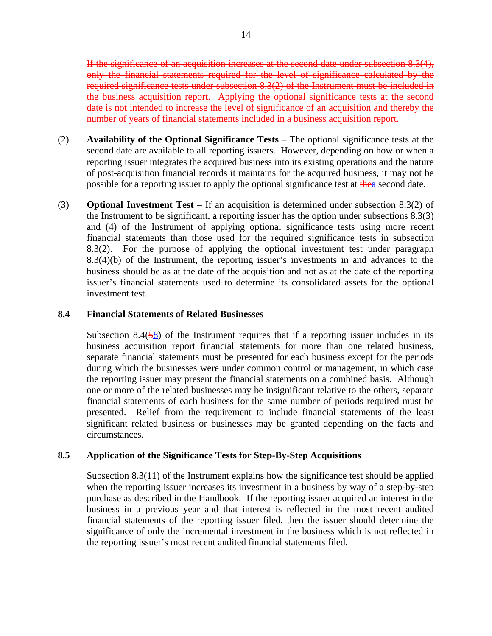If the significance of an acquisition increases at the second date under subsection 8.3(4), only the financial statements required for the level of significance calculated by the required significance tests under subsection 8.3(2) of the Instrument must be included in the business acquisition report. Applying the optional significance tests at the second date is not intended to increase the level of significance of an acquisition and thereby the number of years of financial statements included in a business acquisition report.

- (2) **Availability of the Optional Significance Tests** The optional significance tests at the second date are available to all reporting issuers. However, depending on how or when a reporting issuer integrates the acquired business into its existing operations and the nature of post-acquisition financial records it maintains for the acquired business, it may not be possible for a reporting issuer to apply the optional significance test at the a second date.
- (3) **Optional Investment Test** If an acquisition is determined under subsection 8.3(2) of the Instrument to be significant, a reporting issuer has the option under subsections 8.3(3) and (4) of the Instrument of applying optional significance tests using more recent financial statements than those used for the required significance tests in subsection 8.3(2). For the purpose of applying the optional investment test under paragraph 8.3(4)(b) of the Instrument, the reporting issuer's investments in and advances to the business should be as at the date of the acquisition and not as at the date of the reporting issuer's financial statements used to determine its consolidated assets for the optional investment test.

#### **8.4 Financial Statements of Related Businesses**

Subsection 8.4 $(58)$  of the Instrument requires that if a reporting issuer includes in its business acquisition report financial statements for more than one related business, separate financial statements must be presented for each business except for the periods during which the businesses were under common control or management, in which case the reporting issuer may present the financial statements on a combined basis. Although one or more of the related businesses may be insignificant relative to the others, separate financial statements of each business for the same number of periods required must be presented. Relief from the requirement to include financial statements of the least significant related business or businesses may be granted depending on the facts and circumstances.

#### **8.5 Application of the Significance Tests for Step-By-Step Acquisitions**

Subsection 8.3(11) of the Instrument explains how the significance test should be applied when the reporting issuer increases its investment in a business by way of a step-by-step purchase as described in the Handbook. If the reporting issuer acquired an interest in the business in a previous year and that interest is reflected in the most recent audited financial statements of the reporting issuer filed, then the issuer should determine the significance of only the incremental investment in the business which is not reflected in the reporting issuer's most recent audited financial statements filed.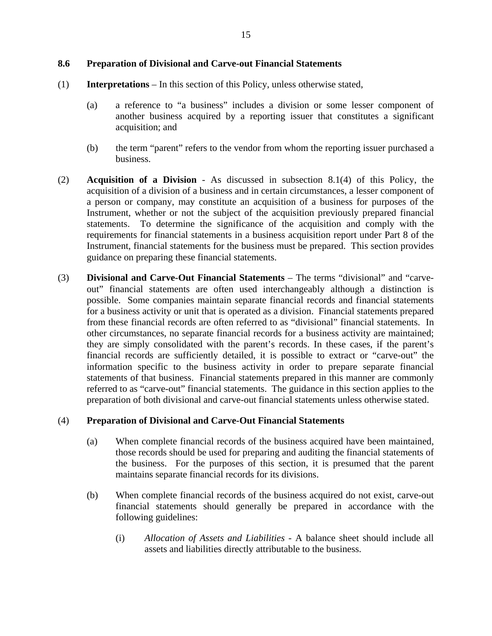#### **8.6 Preparation of Divisional and Carve-out Financial Statements**

- (1) **Interpretations**  In this section of this Policy, unless otherwise stated,
	- (a) a reference to "a business" includes a division or some lesser component of another business acquired by a reporting issuer that constitutes a significant acquisition; and
	- (b) the term "parent" refers to the vendor from whom the reporting issuer purchased a business.
- (2) **Acquisition of a Division** As discussed in subsection 8.1(4) of this Policy, the acquisition of a division of a business and in certain circumstances, a lesser component of a person or company, may constitute an acquisition of a business for purposes of the Instrument, whether or not the subject of the acquisition previously prepared financial statements. To determine the significance of the acquisition and comply with the requirements for financial statements in a business acquisition report under Part 8 of the Instrument, financial statements for the business must be prepared. This section provides guidance on preparing these financial statements.
- (3) **Divisional and Carve-Out Financial Statements** The terms "divisional" and "carveout" financial statements are often used interchangeably although a distinction is possible. Some companies maintain separate financial records and financial statements for a business activity or unit that is operated as a division. Financial statements prepared from these financial records are often referred to as "divisional" financial statements. In other circumstances, no separate financial records for a business activity are maintained; they are simply consolidated with the parent's records. In these cases, if the parent's financial records are sufficiently detailed, it is possible to extract or "carve-out" the information specific to the business activity in order to prepare separate financial statements of that business. Financial statements prepared in this manner are commonly referred to as "carve-out" financial statements. The guidance in this section applies to the preparation of both divisional and carve-out financial statements unless otherwise stated.

#### (4) **Preparation of Divisional and Carve-Out Financial Statements**

- (a) When complete financial records of the business acquired have been maintained, those records should be used for preparing and auditing the financial statements of the business. For the purposes of this section, it is presumed that the parent maintains separate financial records for its divisions.
- (b) When complete financial records of the business acquired do not exist, carve-out financial statements should generally be prepared in accordance with the following guidelines:
	- (i) *Allocation of Assets and Liabilities* A balance sheet should include all assets and liabilities directly attributable to the business.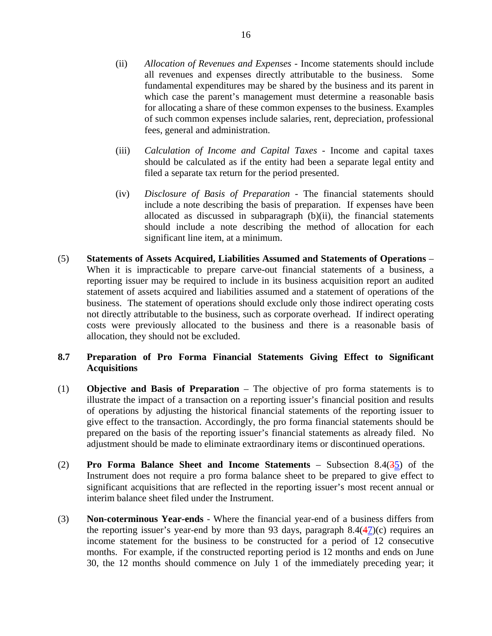- (ii) *Allocation of Revenues and Expenses*  Income statements should include all revenues and expenses directly attributable to the business. Some fundamental expenditures may be shared by the business and its parent in which case the parent's management must determine a reasonable basis for allocating a share of these common expenses to the business. Examples of such common expenses include salaries, rent, depreciation, professional fees, general and administration.
- (iii) *Calculation of Income and Capital Taxes* Income and capital taxes should be calculated as if the entity had been a separate legal entity and filed a separate tax return for the period presented.
- (iv) *Disclosure of Basis of Preparation* The financial statements should include a note describing the basis of preparation. If expenses have been allocated as discussed in subparagraph (b)(ii), the financial statements should include a note describing the method of allocation for each significant line item, at a minimum.
- (5) **Statements of Assets Acquired, Liabilities Assumed and Statements of Operations** When it is impracticable to prepare carve-out financial statements of a business, a reporting issuer may be required to include in its business acquisition report an audited statement of assets acquired and liabilities assumed and a statement of operations of the business. The statement of operations should exclude only those indirect operating costs not directly attributable to the business, such as corporate overhead. If indirect operating costs were previously allocated to the business and there is a reasonable basis of allocation, they should not be excluded.

# **8.7 Preparation of Pro Forma Financial Statements Giving Effect to Significant Acquisitions**

- (1) **Objective and Basis of Preparation** The objective of pro forma statements is to illustrate the impact of a transaction on a reporting issuer's financial position and results of operations by adjusting the historical financial statements of the reporting issuer to give effect to the transaction. Accordingly, the pro forma financial statements should be prepared on the basis of the reporting issuer's financial statements as already filed. No adjustment should be made to eliminate extraordinary items or discontinued operations.
- (2) **Pro Forma Balance Sheet and Income Statements** Subsection 8.4(35) of the Instrument does not require a pro forma balance sheet to be prepared to give effect to significant acquisitions that are reflected in the reporting issuer's most recent annual or interim balance sheet filed under the Instrument.
- (3) **Non-coterminous Year-ends** Where the financial year-end of a business differs from the reporting issuer's year-end by more than 93 days, paragraph  $8.4(47)(c)$  requires an income statement for the business to be constructed for a period of 12 consecutive months. For example, if the constructed reporting period is 12 months and ends on June 30, the 12 months should commence on July 1 of the immediately preceding year; it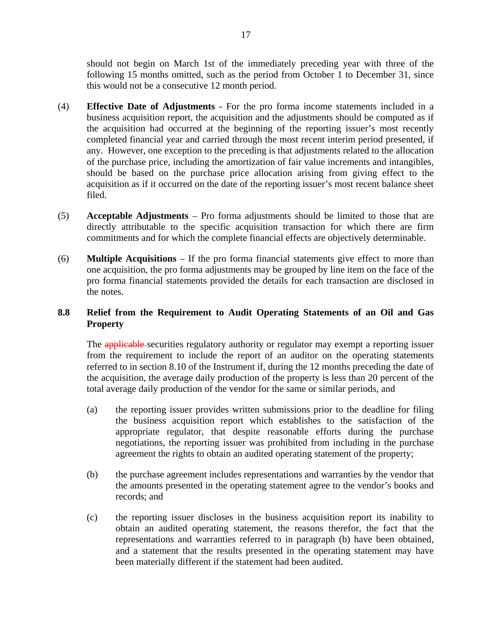should not begin on March 1st of the immediately preceding year with three of the following 15 months omitted, such as the period from October 1 to December 31, since this would not be a consecutive 12 month period.

- (4) **Effective Date of Adjustments** For the pro forma income statements included in a business acquisition report, the acquisition and the adjustments should be computed as if the acquisition had occurred at the beginning of the reporting issuer's most recently completed financial year and carried through the most recent interim period presented, if any. However, one exception to the preceding is that adjustments related to the allocation of the purchase price, including the amortization of fair value increments and intangibles, should be based on the purchase price allocation arising from giving effect to the acquisition as if it occurred on the date of the reporting issuer's most recent balance sheet filed.
- (5) **Acceptable Adjustments** Pro forma adjustments should be limited to those that are directly attributable to the specific acquisition transaction for which there are firm commitments and for which the complete financial effects are objectively determinable.
- (6) **Multiple Acquisitions** If the pro forma financial statements give effect to more than one acquisition, the pro forma adjustments may be grouped by line item on the face of the pro forma financial statements provided the details for each transaction are disclosed in the notes.

# **8.8 Relief from the Requirement to Audit Operating Statements of an Oil and Gas Property**

The applicable securities regulatory authority or regulator may exempt a reporting issuer from the requirement to include the report of an auditor on the operating statements referred to in section 8.10 of the Instrument if, during the 12 months preceding the date of the acquisition, the average daily production of the property is less than 20 percent of the total average daily production of the vendor for the same or similar periods, and

- (a) the reporting issuer provides written submissions prior to the deadline for filing the business acquisition report which establishes to the satisfaction of the appropriate regulator, that despite reasonable efforts during the purchase negotiations, the reporting issuer was prohibited from including in the purchase agreement the rights to obtain an audited operating statement of the property;
- (b) the purchase agreement includes representations and warranties by the vendor that the amounts presented in the operating statement agree to the vendor's books and records; and
- (c) the reporting issuer discloses in the business acquisition report its inability to obtain an audited operating statement, the reasons therefor, the fact that the representations and warranties referred to in paragraph (b) have been obtained, and a statement that the results presented in the operating statement may have been materially different if the statement had been audited.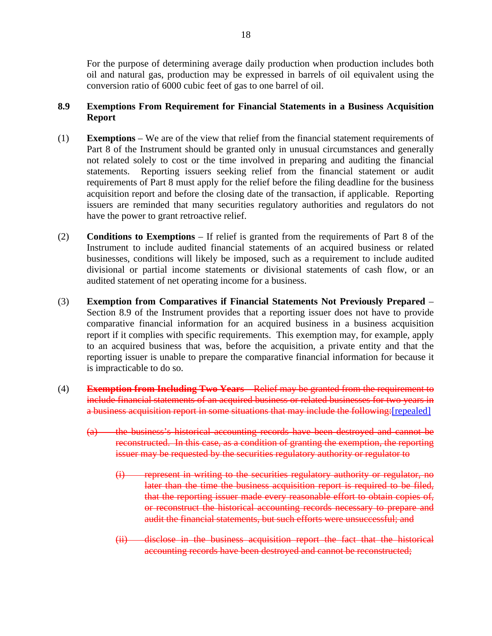For the purpose of determining average daily production when production includes both oil and natural gas, production may be expressed in barrels of oil equivalent using the conversion ratio of 6000 cubic feet of gas to one barrel of oil.

# **8.9 Exemptions From Requirement for Financial Statements in a Business Acquisition Report**

- (1) **Exemptions** We are of the view that relief from the financial statement requirements of Part 8 of the Instrument should be granted only in unusual circumstances and generally not related solely to cost or the time involved in preparing and auditing the financial statements. Reporting issuers seeking relief from the financial statement or audit requirements of Part 8 must apply for the relief before the filing deadline for the business acquisition report and before the closing date of the transaction, if applicable. Reporting issuers are reminded that many securities regulatory authorities and regulators do not have the power to grant retroactive relief.
- (2) **Conditions to Exemptions** If relief is granted from the requirements of Part 8 of the Instrument to include audited financial statements of an acquired business or related businesses, conditions will likely be imposed, such as a requirement to include audited divisional or partial income statements or divisional statements of cash flow, or an audited statement of net operating income for a business.
- (3) **Exemption from Comparatives if Financial Statements Not Previously Prepared**  Section 8.9 of the Instrument provides that a reporting issuer does not have to provide comparative financial information for an acquired business in a business acquisition report if it complies with specific requirements. This exemption may, for example, apply to an acquired business that was, before the acquisition, a private entity and that the reporting issuer is unable to prepare the comparative financial information for because it is impracticable to do so.
- (4) **Exemption from Including Two Years** Relief may be granted from the requirement to include financial statements of an acquired business or related businesses for two years in a business acquisition report in some situations that may include the following: [repealed]
	- (a) the business's historical accounting records have been destroyed and cannot be reconstructed. In this case, as a condition of granting the exemption, the reporting issuer may be requested by the securities regulatory authority or regulator to
		- (i) represent in writing to the securities regulatory authority or regulator, no later than the time the business acquisition report is required to be filed, that the reporting issuer made every reasonable effort to obtain copies of, or reconstruct the historical accounting records necessary to prepare and audit the financial statements, but such efforts were unsuccessful; and
		- (ii) disclose in the business acquisition report the fact that the historical accounting records have been destroyed and cannot be reconstructed;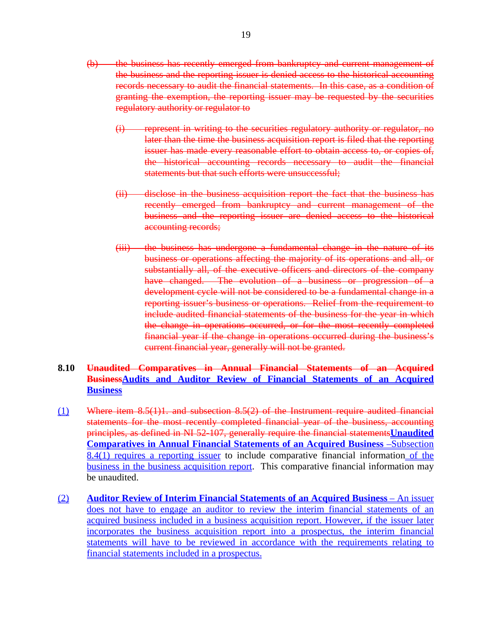- (b) the business has recently emerged from bankruptcy and current management of the business and the reporting issuer is denied access to the historical accounting records necessary to audit the financial statements. In this case, as a condition of granting the exemption, the reporting issuer may be requested by the securities regulatory authority or regulator to
	- (i) represent in writing to the securities regulatory authority or regulator, no later than the time the business acquisition report is filed that the reporting issuer has made every reasonable effort to obtain access to, or copies of, the historical accounting records necessary to audit the financial statements but that such efforts were unsuccessful;
	- (ii) disclose in the business acquisition report the fact that the business has recently emerged from bankruptcy and current management of the business and the reporting issuer are denied access to the historical accounting records;
	- (iii) the business has undergone a fundamental change in the nature of its business or operations affecting the majority of its operations and all, or substantially all, of the executive officers and directors of the company have changed. The evolution of a business or progression of a development cycle will not be considered to be a fundamental change in a reporting issuer's business or operations. Relief from the requirement to include audited financial statements of the business for the year in which the change in operations occurred, or for the most recently completed financial year if the change in operations occurred during the business's current financial year, generally will not be granted.
- **8.10 Unaudited Comparatives in Annual Financial Statements of an Acquired BusinessAudits and Auditor Review of Financial Statements of an Acquired Business**
- (1) Where item 8.5(1)1. and subsection 8.5(2) of the Instrument require audited financial statements for the most recently completed financial year of the business, accounting principles, as defined in NI 52-107, generally require the financial statements**Unaudited Comparatives in Annual Financial Statements of an Acquired Business** –Subsection 8.4(1) requires a reporting issuer to include comparative financial information of the business in the business acquisition report. This comparative financial information may be unaudited.
- (2) **Auditor Review of Interim Financial Statements of an Acquired Business**  An issuer does not have to engage an auditor to review the interim financial statements of an acquired business included in a business acquisition report. However, if the issuer later incorporates the business acquisition report into a prospectus, the interim financial statements will have to be reviewed in accordance with the requirements relating to financial statements included in a prospectus.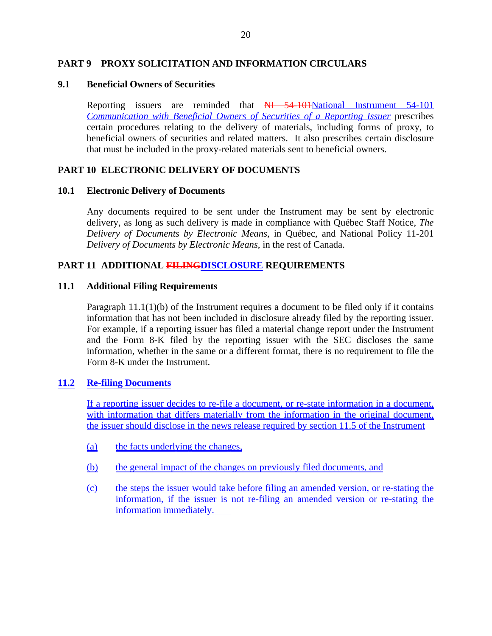#### **PART 9 PROXY SOLICITATION AND INFORMATION CIRCULARS**

#### **9.1 Beneficial Owners of Securities**

Reporting issuers are reminded that NI 54-101National Instrument 54-101 *Communication with Beneficial Owners of Securities of a Reporting Issuer* prescribes certain procedures relating to the delivery of materials, including forms of proxy, to beneficial owners of securities and related matters. It also prescribes certain disclosure that must be included in the proxy-related materials sent to beneficial owners.

#### **PART 10 ELECTRONIC DELIVERY OF DOCUMENTS**

#### **10.1 Electronic Delivery of Documents**

Any documents required to be sent under the Instrument may be sent by electronic delivery, as long as such delivery is made in compliance with Québec Staff Notice, *The Delivery of Documents by Electronic Means*, in Québec, and National Policy 11-201 *Delivery of Documents by Electronic Means*, in the rest of Canada.

#### **PART 11 ADDITIONAL FILINGDISCLOSURE REQUIREMENTS**

#### **11.1 Additional Filing Requirements**

Paragraph  $11.1(1)(b)$  of the Instrument requires a document to be filed only if it contains information that has not been included in disclosure already filed by the reporting issuer. For example, if a reporting issuer has filed a material change report under the Instrument and the Form 8-K filed by the reporting issuer with the SEC discloses the same information, whether in the same or a different format, there is no requirement to file the Form 8-K under the Instrument.

#### **11.2 Re-filing Documents**

If a reporting issuer decides to re-file a document, or re-state information in a document, with information that differs materially from the information in the original document, the issuer should disclose in the news release required by section 11.5 of the Instrument

- (a) the facts underlying the changes,
- (b) the general impact of the changes on previously filed documents, and
- (c) the steps the issuer would take before filing an amended version, or re-stating the information, if the issuer is not re-filing an amended version or re-stating the information immediately.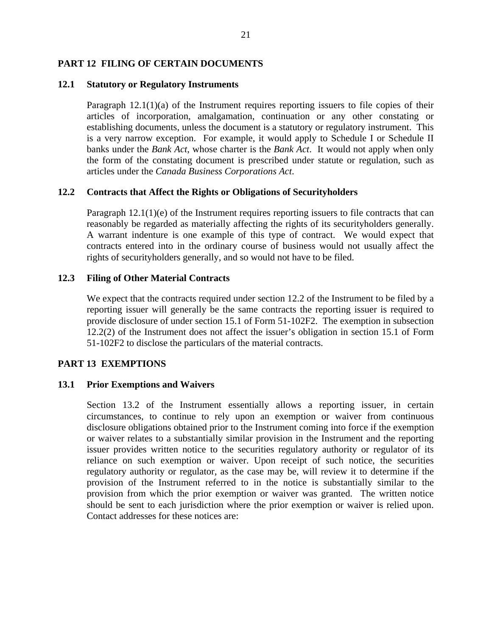#### **PART 12 FILING OF CERTAIN DOCUMENTS**

#### **12.1 Statutory or Regulatory Instruments**

Paragraph  $12.1(1)(a)$  of the Instrument requires reporting issuers to file copies of their articles of incorporation, amalgamation, continuation or any other constating or establishing documents, unless the document is a statutory or regulatory instrument. This is a very narrow exception. For example, it would apply to Schedule I or Schedule II banks under the *Bank Act*, whose charter is the *Bank Act*. It would not apply when only the form of the constating document is prescribed under statute or regulation, such as articles under the *Canada Business Corporations Act*.

#### **12.2 Contracts that Affect the Rights or Obligations of Securityholders**

Paragraph 12.1(1)(e) of the Instrument requires reporting issuers to file contracts that can reasonably be regarded as materially affecting the rights of its securityholders generally. A warrant indenture is one example of this type of contract. We would expect that contracts entered into in the ordinary course of business would not usually affect the rights of securityholders generally, and so would not have to be filed.

#### **12.3 Filing of Other Material Contracts**

We expect that the contracts required under section 12.2 of the Instrument to be filed by a reporting issuer will generally be the same contracts the reporting issuer is required to provide disclosure of under section 15.1 of Form 51-102F2. The exemption in subsection 12.2(2) of the Instrument does not affect the issuer's obligation in section 15.1 of Form 51-102F2 to disclose the particulars of the material contracts.

#### **PART 13 EXEMPTIONS**

#### **13.1 Prior Exemptions and Waivers**

Section 13.2 of the Instrument essentially allows a reporting issuer, in certain circumstances, to continue to rely upon an exemption or waiver from continuous disclosure obligations obtained prior to the Instrument coming into force if the exemption or waiver relates to a substantially similar provision in the Instrument and the reporting issuer provides written notice to the securities regulatory authority or regulator of its reliance on such exemption or waiver. Upon receipt of such notice, the securities regulatory authority or regulator, as the case may be, will review it to determine if the provision of the Instrument referred to in the notice is substantially similar to the provision from which the prior exemption or waiver was granted. The written notice should be sent to each jurisdiction where the prior exemption or waiver is relied upon. Contact addresses for these notices are: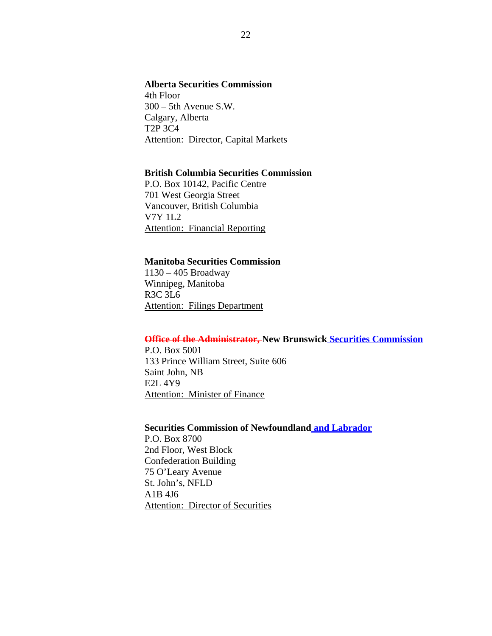#### **Alberta Securities Commission**

4th Floor 300 – 5th Avenue S.W. Calgary, Alberta T2P 3C4 Attention: Director, Capital Markets

#### **British Columbia Securities Commission**

P.O. Box 10142, Pacific Centre 701 West Georgia Street Vancouver, British Columbia V7Y 1L2 Attention: Financial Reporting

#### **Manitoba Securities Commission**

1130 – 405 Broadway Winnipeg, Manitoba R3C 3L6 Attention: Filings Department

#### **Office of the Administrator, New Brunswick Securities Commission**

P.O. Box 5001 133 Prince William Street, Suite 606 Saint John, NB E2L 4Y9 Attention: Minister of Finance

**Securities Commission of Newfoundland and Labrador** P.O. Box 8700

2nd Floor, West Block Confederation Building 75 O'Leary Avenue St. John's, NFLD A1B 4J6 Attention: Director of Securities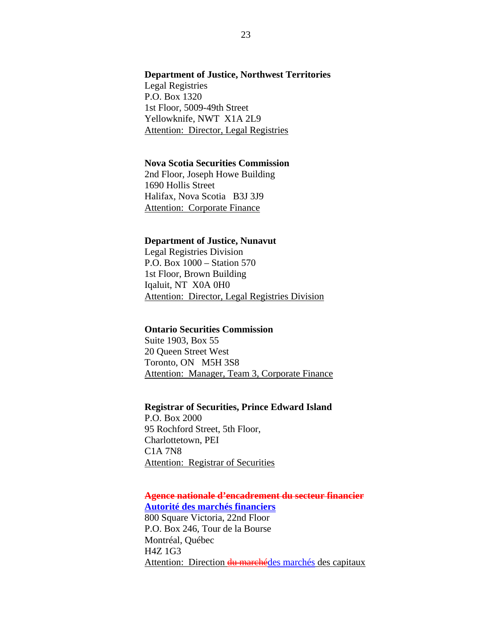#### **Department of Justice, Northwest Territories**

Legal Registries P.O. Box 1320 1st Floor, 5009-49th Street Yellowknife, NWT X1A 2L9 Attention: Director, Legal Registries

#### **Nova Scotia Securities Commission**

2nd Floor, Joseph Howe Building 1690 Hollis Street Halifax, Nova Scotia B3J 3J9 Attention: Corporate Finance

#### **Department of Justice, Nunavut**

Legal Registries Division P.O. Box 1000 – Station 570 1st Floor, Brown Building Iqaluit, NT X0A 0H0 Attention: Director, Legal Registries Division

#### **Ontario Securities Commission**

Suite 1903, Box 55 20 Queen Street West Toronto, ON M5H 3S8 Attention: Manager, Team 3, Corporate Finance

#### **Registrar of Securities, Prince Edward Island**

P.O. Box 2000 95 Rochford Street, 5th Floor, Charlottetown, PEI C1A 7N8 Attention: Registrar of Securities

# **Agence nationale d'encadrement du secteur financier Autorité des marchés financiers**

800 Square Victoria, 22nd Floor P.O. Box 246, Tour de la Bourse Montréal, Québec H4Z 1G3 Attention: Direction du marchédes marchés des capitaux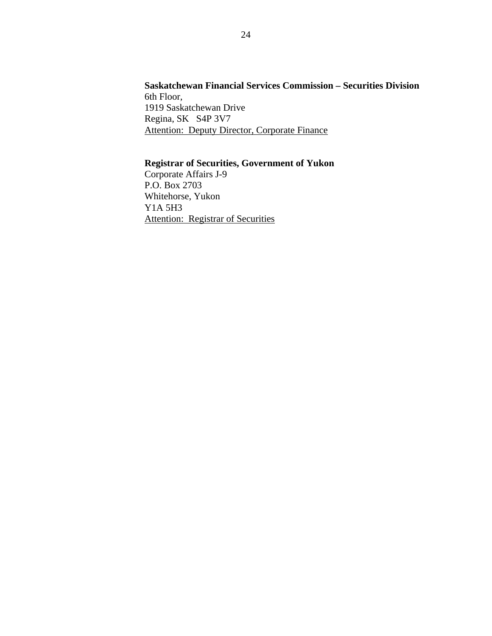**Saskatchewan Financial Services Commission – Securities Division** 6th Floor, 1919 Saskatchewan Drive Regina, SK S4P 3V7 Attention: Deputy Director, Corporate Finance

**Registrar of Securities, Government of Yukon** 

Corporate Affairs J-9 P.O. Box 2703 Whitehorse, Yukon Y1A 5H3 Attention: Registrar of Securities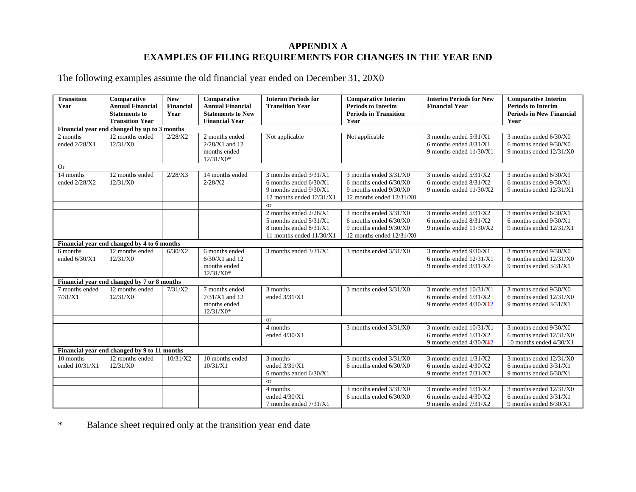# **APPENDIX A EXAMPLES OF FILING REQUIREMENTS FOR CHANGES IN THE YEAR END**

The following examples assume the old financial year ended on December 31, 20X0

| <b>Transition</b><br>Year     | Comparative<br><b>Annual Financial</b><br><b>Statements to</b><br><b>Transition Year</b> | <b>New</b><br><b>Financial</b><br>Year | Comparative<br><b>Annual Financial</b><br><b>Statements to New</b><br><b>Financial Year</b> | <b>Interim Periods for</b><br><b>Transition Year</b>                                                       | <b>Comparative Interim</b><br><b>Periods to Interim</b><br><b>Periods in Transition</b><br>Year            | <b>Interim Periods for New</b><br><b>Financial Year</b>                                      | <b>Comparative Interim</b><br><b>Periods to Interim</b><br><b>Periods in New Financial</b><br>Year |
|-------------------------------|------------------------------------------------------------------------------------------|----------------------------------------|---------------------------------------------------------------------------------------------|------------------------------------------------------------------------------------------------------------|------------------------------------------------------------------------------------------------------------|----------------------------------------------------------------------------------------------|----------------------------------------------------------------------------------------------------|
|                               | Financial year end changed by up to 3 months                                             |                                        |                                                                                             |                                                                                                            |                                                                                                            |                                                                                              |                                                                                                    |
| 2 months<br>ended $2/28/X1$   | 12 months ended<br>12/31/X0                                                              | 2/28/X2                                | 2 months ended<br>$2/28/X1$ and 12<br>months ended<br>$12/31/X0*$                           | Not applicable                                                                                             | Not applicable                                                                                             | 3 months ended $5/31/X1$<br>6 months ended 8/31/X1<br>9 months ended 11/30/X1                | 3 months ended 6/30/X0<br>6 months ended 9/30/X0<br>9 months ended 12/31/X0                        |
| <b>Or</b>                     |                                                                                          |                                        |                                                                                             |                                                                                                            |                                                                                                            |                                                                                              |                                                                                                    |
| 14 months<br>ended 2/28/X2    | 12 months ended<br>12/31/X0                                                              | 2/28/X3                                | 14 months ended<br>2/28/X2                                                                  | 3 months ended $3/31/X1$<br>6 months ended 6/30/X1<br>9 months ended 9/30/X1<br>12 months ended $12/31/X1$ | 3 months ended 3/31/X0<br>6 months ended 6/30/X0<br>9 months ended 9/30/X0<br>12 months ended $12/31/X0$   | 3 months ended 5/31/X2<br>6 months ended 8/31/X2<br>9 months ended 11/30/X2                  | 3 months ended 6/30/X1<br>6 months ended 9/30/X1<br>9 months ended 12/31/X1                        |
|                               |                                                                                          |                                        |                                                                                             | <b>or</b>                                                                                                  |                                                                                                            |                                                                                              |                                                                                                    |
|                               |                                                                                          |                                        |                                                                                             | 2 months ended $2/28/X1$<br>5 months ended 5/31/X1<br>8 months ended 8/31/X1<br>11 months ended $11/30/X1$ | 3 months ended $3/31/X0$<br>6 months ended 6/30/X0<br>9 months ended 9/30/X0<br>12 months ended $12/31/X0$ | 3 months ended 5/31/X2<br>6 months ended 8/31/X2<br>9 months ended 11/30/X2                  | 3 months ended $6/30/X1$<br>6 months ended 9/30/X1<br>9 months ended 12/31/X1                      |
|                               | Financial year end changed by 4 to 6 months                                              |                                        |                                                                                             |                                                                                                            |                                                                                                            |                                                                                              |                                                                                                    |
| 6 months<br>ended 6/30/X1     | 12 months ended<br>12/31/X0                                                              | 6/30/X2                                | 6 months ended<br>$6/30/X1$ and 12<br>months ended<br>$12/31/X0*$                           | 3 months ended $3/31/X1$                                                                                   | 3 months ended $3/31/X0$                                                                                   | 3 months ended 9/30/X1<br>6 months ended 12/31/X1<br>9 months ended 3/31/X2                  | 3 months ended 9/30/X0<br>6 months ended 12/31/X0<br>9 months ended 3/31/X1                        |
|                               | Financial year end changed by 7 or 8 months                                              |                                        |                                                                                             |                                                                                                            |                                                                                                            |                                                                                              |                                                                                                    |
| 7 months ended<br>7/31/X1     | 12 months ended<br>12/31/X0                                                              | 7/31/X2                                | 7 months ended<br>$7/31/X1$ and 12<br>months ended<br>$12/31/X0*$                           | 3 months<br>ended $3/31/X1$                                                                                | 3 months ended $3/31/X0$                                                                                   | 3 months ended $10/31/X1$<br>6 months ended 1/31/X2<br>9 months ended $4/30/X$ <sup>12</sup> | 3 months ended 9/30/X0<br>6 months ended 12/31/X0<br>9 months ended $3/31/X1$                      |
|                               |                                                                                          |                                        |                                                                                             | <b>or</b>                                                                                                  |                                                                                                            |                                                                                              |                                                                                                    |
|                               |                                                                                          |                                        |                                                                                             | 4 months<br>ended $4/30/X1$                                                                                | 3 months ended 3/31/X0                                                                                     | 3 months ended $10/31/X1$<br>6 months ended 1/31/X2<br>9 months ended $4/30/X$ <sup>12</sup> | 3 months ended 9/30/X0<br>6 months ended 12/31/X0<br>10 months ended 4/30/X1                       |
|                               | Financial year end changed by 9 to 11 months                                             |                                        |                                                                                             |                                                                                                            |                                                                                                            |                                                                                              |                                                                                                    |
| 10 months<br>ended $10/31/X1$ | 12 months ended<br>12/31/X0                                                              | 10/31/X2                               | 10 months ended<br>10/31/X1                                                                 | 3 months<br>ended $3/31/X1$<br>6 months ended 6/30/X1                                                      | 3 months ended 3/31/X0<br>6 months ended 6/30/X0                                                           | 3 months ended 1/31/X2<br>6 months ended $4/30/X2$<br>9 months ended 7/31/X2                 | 3 months ended 12/31/X0<br>6 months ended $3/31/X1$<br>9 months ended 6/30/X1                      |
|                               |                                                                                          |                                        |                                                                                             | <b>or</b>                                                                                                  |                                                                                                            |                                                                                              |                                                                                                    |
|                               |                                                                                          |                                        |                                                                                             | 4 months<br>ended $4/30/X1$<br>7 months ended $7/31/X1$                                                    | 3 months ended $3/31/X0$<br>6 months ended 6/30/X0                                                         | 3 months ended 1/31/X2<br>6 months ended 4/30/X2<br>9 months ended 7/31/X2                   | 3 months ended 12/31/X0<br>6 months ended $3/31/X1$<br>9 months ended 6/30/X1                      |

\* Balance sheet required only at the transition year end date